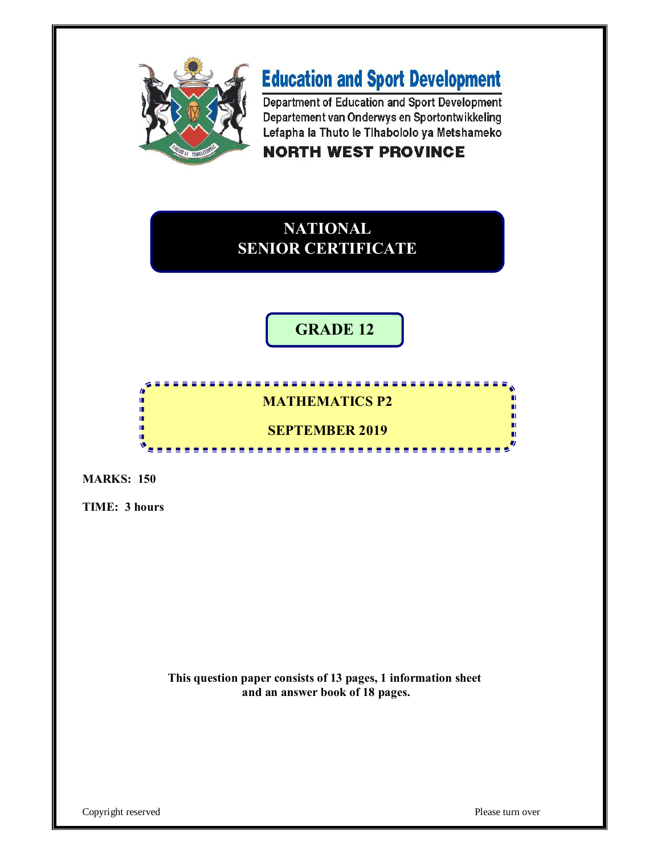

# **Education and Sport Development**

Department of Education and Sport Development Departement van Onderwys en Sportontwikkeling Lefapha la Thuto le Tihabololo ya Metshameko

# **NORTH WEST PROVINCE**

# **NATIONAL SENIOR CERTIFICATE**

# **GRADE 12**

# **MATHEMATICS P2**

<u>...............</u>

-----------

# **SEPTEMBER 2019**

**MARKS: 150**

т φ ú. í. ıi

**TIME: 3 hours**

**This question paper consists of 13 pages, 1 information sheet and an answer book of 18 pages.**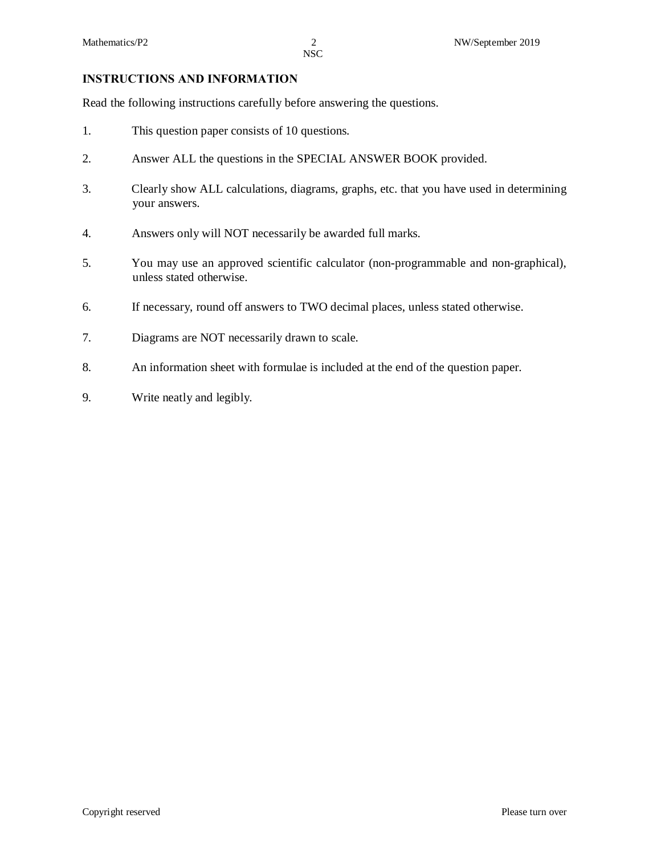#### **INSTRUCTIONS AND INFORMATION**

Read the following instructions carefully before answering the questions.

- 1. This question paper consists of 10 questions.
- 2. Answer ALL the questions in the SPECIAL ANSWER BOOK provided.
- 3. Clearly show ALL calculations, diagrams, graphs, etc. that you have used in determining your answers.
- 4. Answers only will NOT necessarily be awarded full marks.
- 5. You may use an approved scientific calculator (non-programmable and non-graphical), unless stated otherwise.
- 6. If necessary, round off answers to TWO decimal places, unless stated otherwise.
- 7. Diagrams are NOT necessarily drawn to scale.
- 8. An information sheet with formulae is included at the end of the question paper.
- 9. Write neatly and legibly.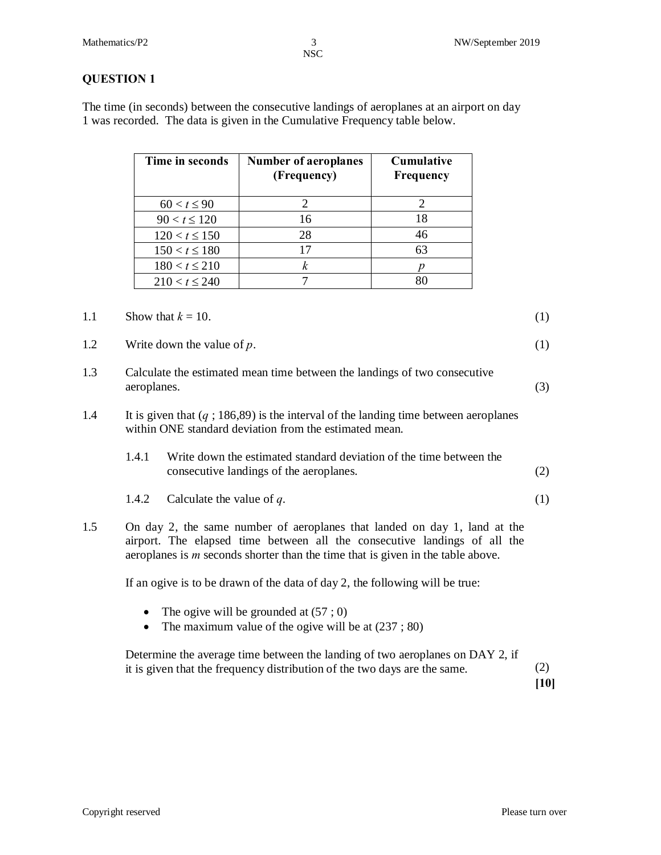The time (in seconds) between the consecutive landings of aeroplanes at an airport on day 1 was recorded. The data is given in the Cumulative Frequency table below.

| Time in seconds    | <b>Number of aeroplanes</b><br>(Frequency) | <b>Cumulative</b><br>Frequency |
|--------------------|--------------------------------------------|--------------------------------|
| $60 < t \leq 90$   |                                            |                                |
| $90 < t \le 120$   | 16                                         | 18                             |
| $120 < t \le 150$  | 28                                         | 46                             |
| $150 < t \le 180$  |                                            | 63                             |
| $180 < t \le 210$  |                                            |                                |
| $210 < t \leq 240$ |                                            |                                |

#### 1.1 Show that  $k = 10$ . (1)

1.2 Write down the value of *p*. (1)

- 1.3 Calculate the estimated mean time between the landings of two consecutive aeroplanes. (3)
- 1.4 It is given that (*q* ; 186,89) is the interval of the landing time between aeroplanes within ONE standard deviation from the estimated mean.
	- 1.4.1 Write down the estimated standard deviation of the time between the consecutive landings of the aeroplanes. (2)
	- 1.4.2 Calculate the value of *q*. (1)
- 1.5 On day 2, the same number of aeroplanes that landed on day 1, land at the airport. The elapsed time between all the consecutive landings of all the aeroplanes is *m* seconds shorter than the time that is given in the table above.

If an ogive is to be drawn of the data of day 2, the following will be true:

- The ogive will be grounded at  $(57, 0)$
- The maximum value of the ogive will be at  $(237; 80)$

Determine the average time between the landing of two aeroplanes on DAY 2, if it is given that the frequency distribution of the two days are the same. (2)

**[10]**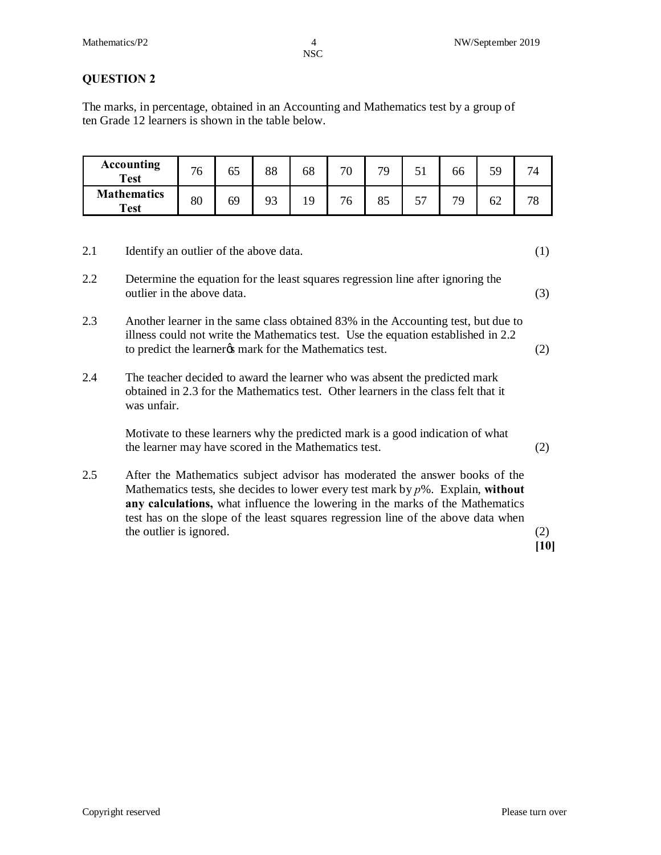# **QUESTION 2**

The marks, in percentage, obtained in an Accounting and Mathematics test by a group of ten Grade 12 learners is shown in the table below.

| <b>Accounting</b><br><b>Test</b>  | 76 | כס | 88       | 68 | 70 | 79 | $\sim$ 4 | ხხ | 5۵ |  |
|-----------------------------------|----|----|----------|----|----|----|----------|----|----|--|
| <b>Mathematics</b><br><b>Test</b> | 80 | 69 | ۵3<br>フコ | Q  | O  | 80 | $-1$     | 70 | 62 |  |

| 2.1 | Identify an outlier of the above data.                                                                                                                                                                                                                                                                                                                             | (1) |
|-----|--------------------------------------------------------------------------------------------------------------------------------------------------------------------------------------------------------------------------------------------------------------------------------------------------------------------------------------------------------------------|-----|
| 2.2 | Determine the equation for the least squares regression line after ignoring the<br>outlier in the above data.                                                                                                                                                                                                                                                      | (3) |
| 2.3 | Another learner in the same class obtained 83% in the Accounting test, but due to<br>illness could not write the Mathematics test. Use the equation established in 2.2<br>to predict the learner to mark for the Mathematics test.                                                                                                                                 | (2) |
| 2.4 | The teacher decided to award the learner who was absent the predicted mark<br>obtained in 2.3 for the Mathematics test. Other learners in the class felt that it<br>was unfair.                                                                                                                                                                                    |     |
|     | Motivate to these learners why the predicted mark is a good indication of what<br>the learner may have scored in the Mathematics test.                                                                                                                                                                                                                             | (2) |
| 2.5 | After the Mathematics subject advisor has moderated the answer books of the<br>Mathematics tests, she decides to lower every test mark by $p$ %. Explain, without<br>any calculations, what influence the lowering in the marks of the Mathematics<br>test has on the slope of the least squares regression line of the above data when<br>the outlier is ignored. | (2) |

**[10]**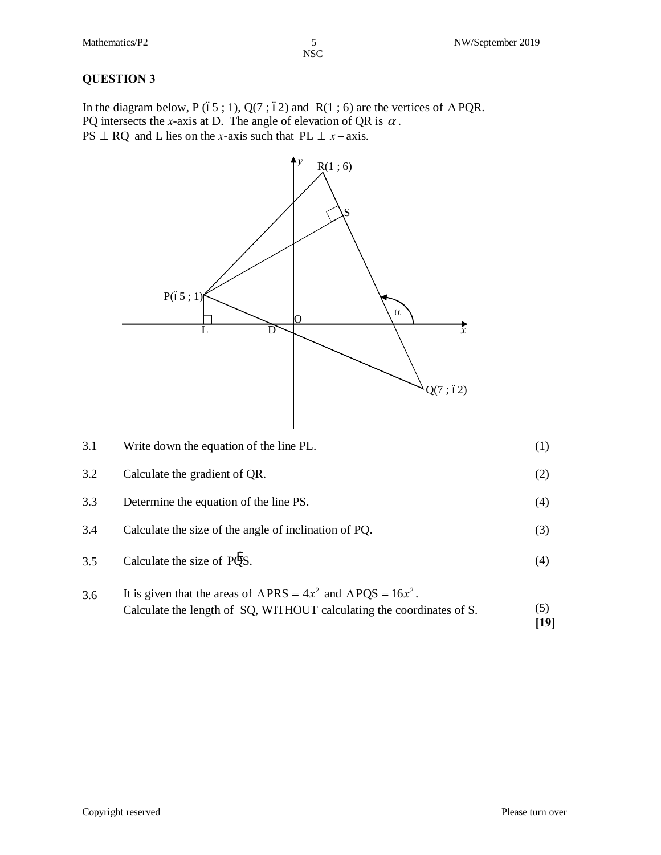#### **QUESTION 3**

In the diagram below, P (65 ; 1), Q(7 ; 62) and R(1 ; 6) are the vertices of  $\triangle PQR$ . PQ intersects the *x*-axis at D. The angle of elevation of QR is  $\alpha$ . PS  $\perp$  RQ and L lies on the *x*-axis such that PL  $\perp$  *x* - *xxis*.



3.1 Write down the equation of the line PL. (1) 3.2 Calculate the gradient of QR. (2) 3.3 Determine the equation of the line PS. (4) 3.4 Calculate the size of the angle of inclination of PQ. (3) 3.5 Calculate the size of  $\overrightarrow{PQS}$ . (4)

3.6 It is given that the areas of  $\triangle PRS = 4x^2$  and  $\triangle PQS = 16x^2$ . Calculate the length of SQ, WITHOUT calculating the coordinates of S.  $(5)$ **[19]**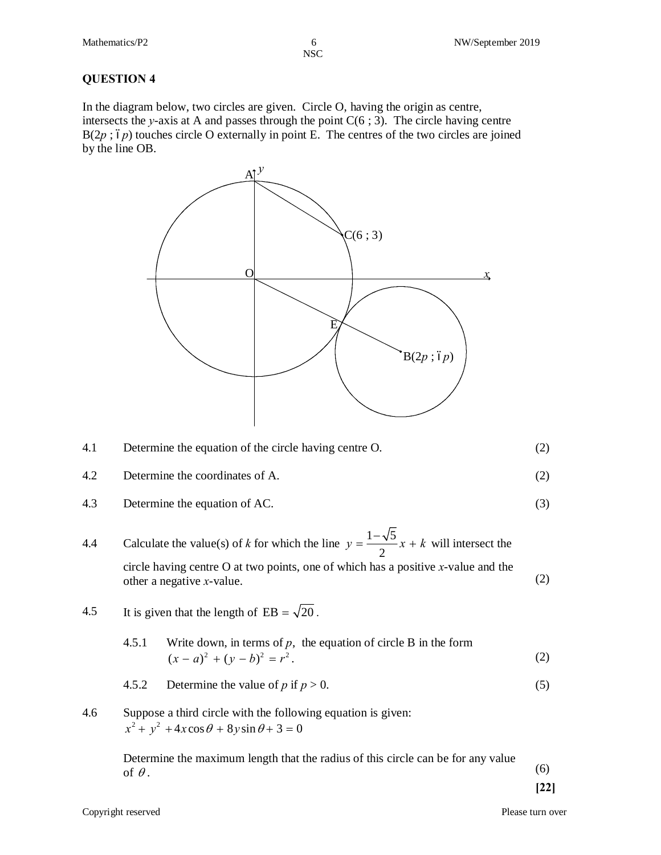In the diagram below, two circles are given. Circle O, having the origin as centre, intersects the *y*-axis at A and passes through the point  $C(6; 3)$ . The circle having centre  $B(2p; 6p)$  touches circle O externally in point E. The centres of the two circles are joined by the line OB.



| 4.1 | Determine the equation of the circle having centre O. |  |
|-----|-------------------------------------------------------|--|
| 4.2 | Determine the coordinates of A.                       |  |

- 4.3 Determine the equation of AC. (3)
- 4.4 Calculate the value(s) of *k* for which the line  $y = \frac{1-\sqrt{5}}{2}x + k$  will intersect the circle having centre O at two points, one of which has a positive *x*-value and the other a negative *x*-value. (2)
- 4.5 It is given that the length of  $EB = \sqrt{20}$ .
	- 4.5.1 Write down, in terms of  $p$ , the equation of circle B in the form  $(x - a)^2 + (y - b)^2 = r^2$ . (2)
	- 4.5.2 Determine the value of *p* if  $p > 0$ . (5)
- 4.6 Suppose a third circle with the following equation is given:  $x^{2} + y^{2} + 4x \cos \theta + 8y \sin \theta + 3 = 0$

Determine the maximum length that the radius of this circle can be for any value of  $\theta$ . (6)

**[22]**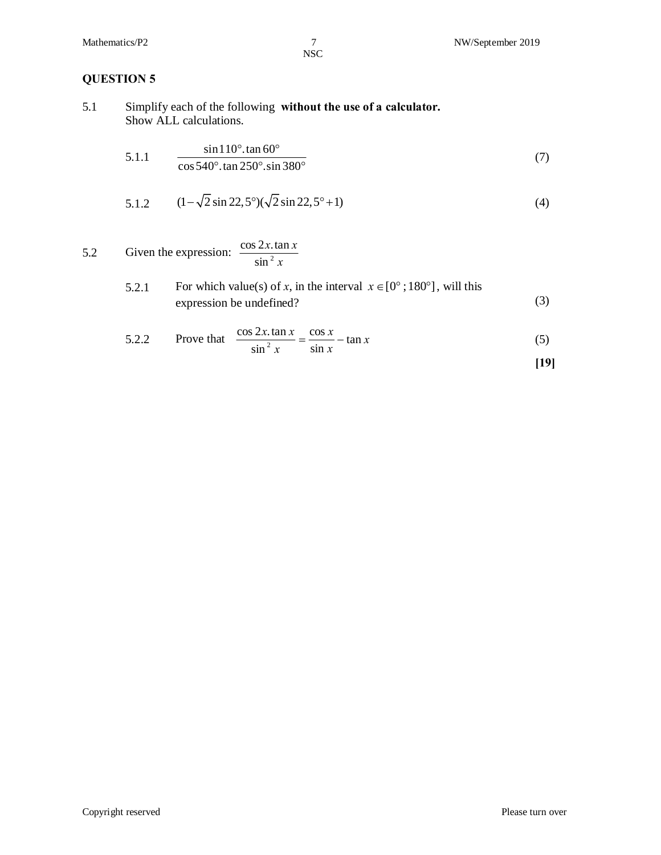# **QUESTION 5**

5.1 Simplify each of the following **without the use of a calculator.** Show ALL calculations.

5.1.1 
$$
\frac{\sin 110^{\circ} \cdot \tan 60^{\circ}}{\cos 540^{\circ} \cdot \tan 250^{\circ} \cdot \sin 380^{\circ}}
$$
(7)

5.1.2 
$$
(1 - \sqrt{2} \sin 22, 5^{\circ})(\sqrt{2} \sin 22, 5^{\circ} + 1)
$$
 (4)

5.2 Given the expression: 
$$
\frac{\cos 2x \cdot \tan x}{\sin^2 x}
$$

5.2.1 For which value(s) of x, in the interval 
$$
x \in [0^\circ; 180^\circ]
$$
, will this expression be undefined? (3)

5.2.2 Prove that 
$$
\frac{\cos 2x \cdot \tan x}{\sin^2 x} = \frac{\cos x}{\sin x} - \tan x
$$
 (5)

$$
[19]
$$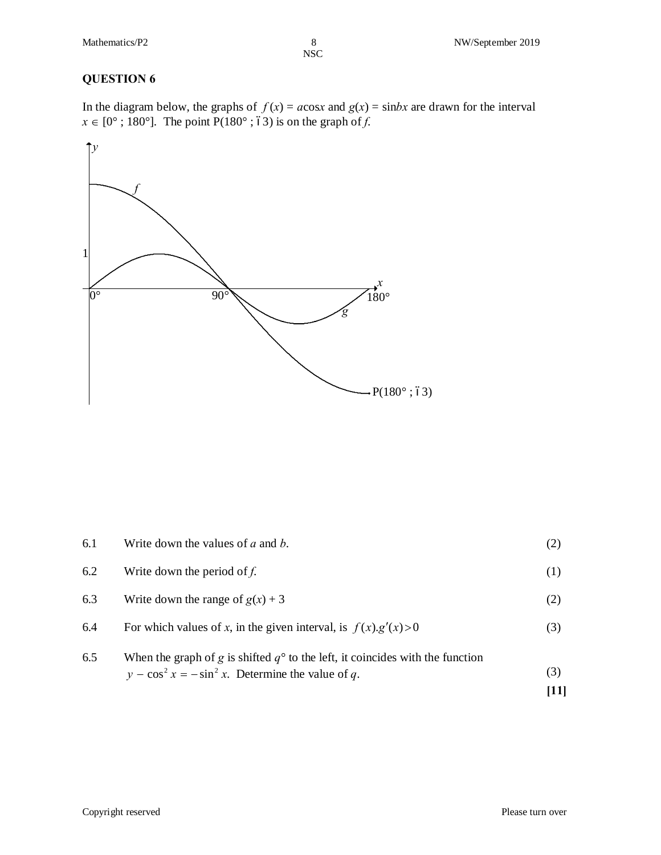In the diagram below, the graphs of  $f(x) = a\cos x$  and  $g(x) = \sin bx$  are drawn for the interval  $x \in [0^\circ; 180^\circ]$ . The point  $P(180^\circ; 63)$  is on the graph of *f*.



| 6.5 | When the graph of g is shifted $q^{\circ}$ to the left, it coincides with the function<br>$y - \cos^2 x = -\sin^2 x$ . Determine the value of q. | (3) |
|-----|--------------------------------------------------------------------------------------------------------------------------------------------------|-----|
| 6.4 | For which values of x, in the given interval, is $f(x)g'(x) > 0$                                                                                 | (3) |
| 6.3 | Write down the range of $g(x) + 3$                                                                                                               | (2) |
| 6.2 | Write down the period of $f$ .                                                                                                                   | (1) |
| 6.1 | Write down the values of $a$ and $b$ .                                                                                                           |     |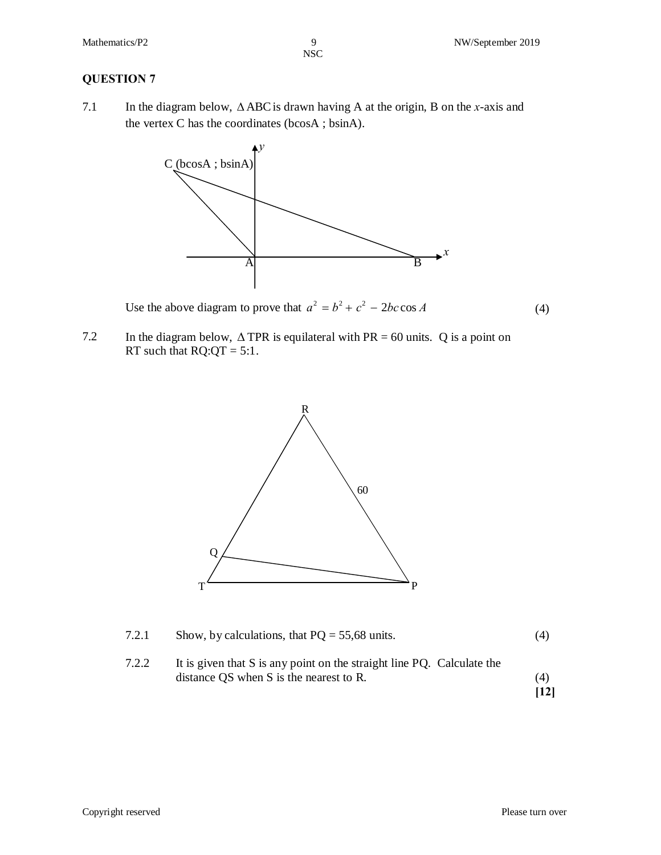7.1 In the diagram below,  $\triangle ABC$  is drawn having A at the origin, B on the *x*-axis and the vertex C has the coordinates (bcosA ; bsinA).



Use the above diagram to prove that  $a^2 = b^2 + c^2 - 2bc \cos A$  (4)

7.2 In the diagram below,  $\triangle$  TPR is equilateral with PR = 60 units. Q is a point on RT such that  $RQ:QT = 5:1$ .



| 7.2.1 | Show, by calculations, that $PQ = 55,68$ units.                        | (4) |
|-------|------------------------------------------------------------------------|-----|
| 7.2.2 | It is given that S is any point on the straight line PQ. Calculate the |     |
|       | distance QS when S is the nearest to R.                                | (4) |

**[12]**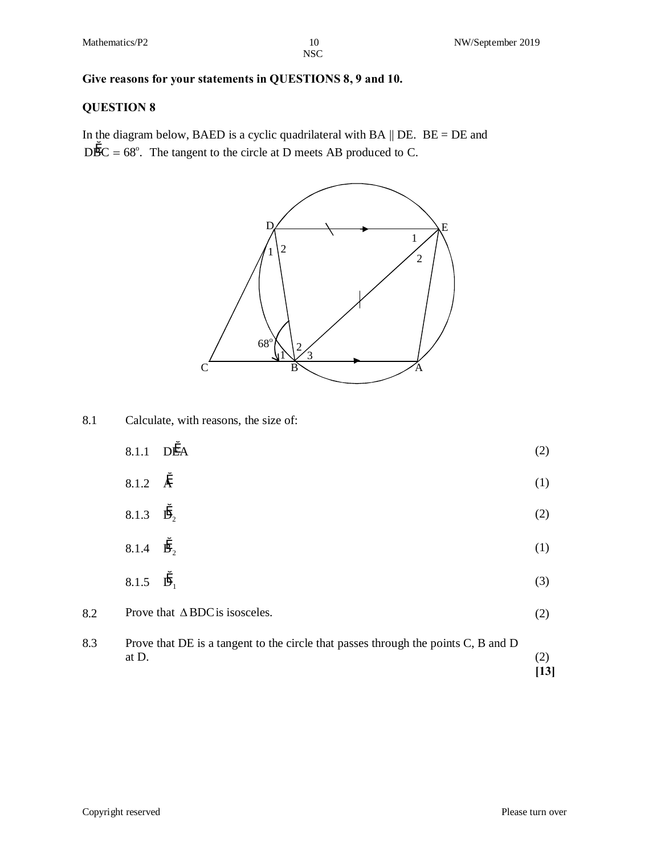### **Give reasons for your statements in QUESTIONS 8, 9 and 10.**

### **QUESTION 8**

In the diagram below, BAED is a cyclic quadrilateral with BA  $\parallel$  DE. BE = DE and  $D\overset{\circ}{BC} = 68^{\circ}$ . The tangent to the circle at D meets AB produced to C.



8.1 Calculate, with reasons, the size of:

|                             | $8.1.1$ DEA | (2) |
|-----------------------------|-------------|-----|
| 8.1.2 $\AA$                 |             | (1) |
| 8.1.3 $\ddot{D}_2$          |             | (2) |
| 8.1.4 $\mathbf{\ddot{B}}_2$ |             | (1) |
| 8.1.5 $\ddot{D}_1$          |             | (3) |



at D.  $\tag{2}$ 

**[13]**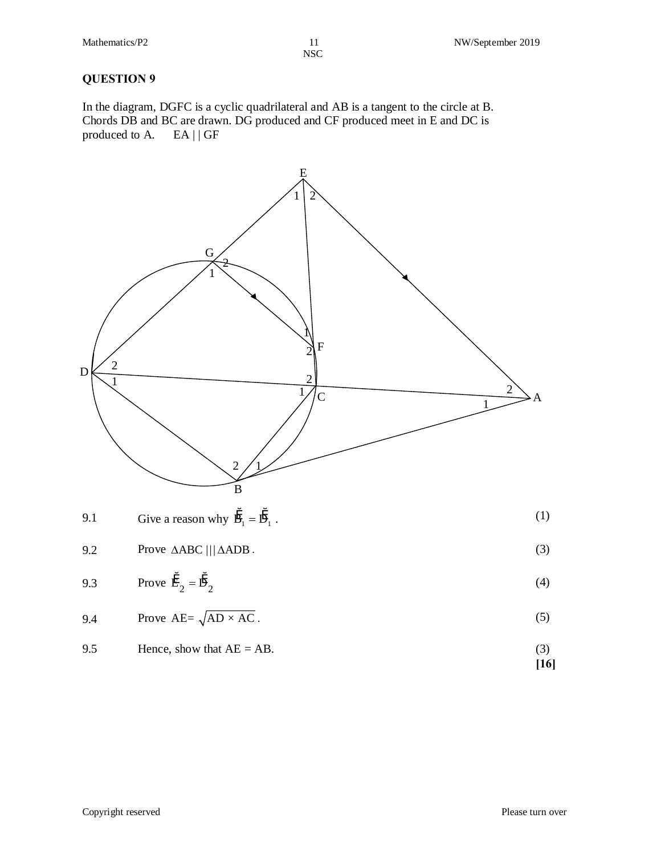In the diagram, DGFC is a cyclic quadrilateral and AB is a tangent to the circle at B. Chords DB and BC are drawn. DG produced and CF produced meet in E and DC is produced to A. EA | | GF



$$
9.5
$$
 Hence, show that AE = AD.  
[16]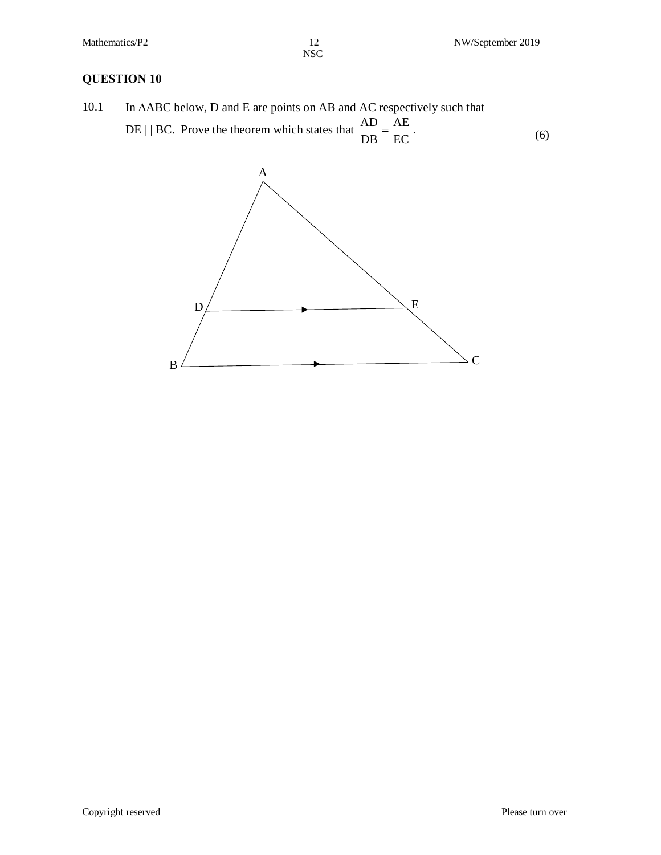10.1 In  $\triangle ABC$  below, D and E are points on AB and AC respectively such that DE | | BC. Prove the theorem which states that EC AE  $\frac{AD}{DB} = \frac{AE}{EC}$  (6)

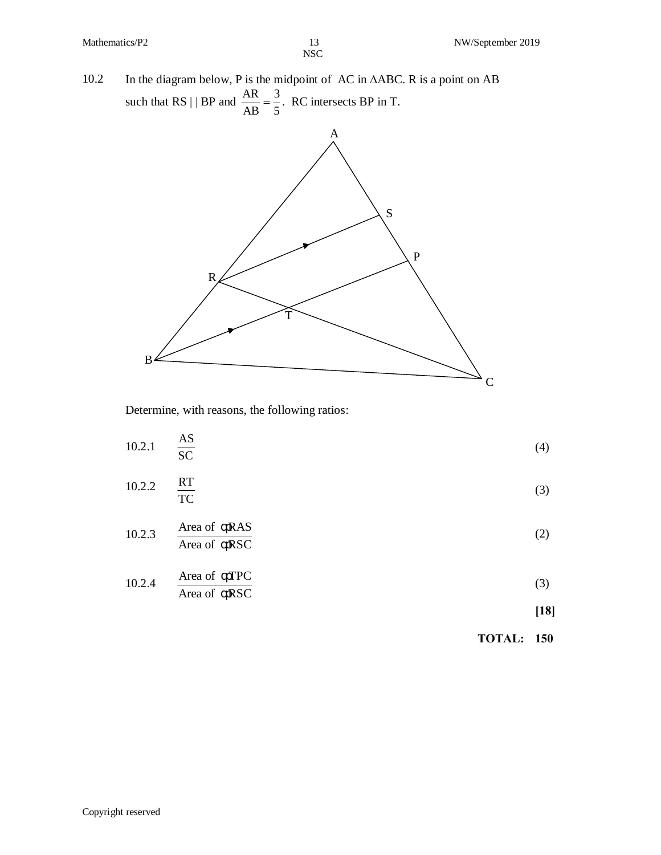10.2 In the diagram below, P is the midpoint of AC in  $\triangle$ ABC. R is a point on AB such that RS | | BP and 3  $\frac{\text{AR}}{\text{AR}} = \frac{3}{7}$ . RC intersects BP in T.



Determine, with reasons, the following ratios:

|        |                               | <b>TOTAL: 150</b> |        |
|--------|-------------------------------|-------------------|--------|
|        |                               |                   | $[18]$ |
| 10.2.4 | Area of RSC                   |                   | (3)    |
|        | Area of TPC                   |                   |        |
| 10.2.3 | Area of RSC                   |                   | (2)    |
|        | Area of RAS                   |                   |        |
| 10.2.2 | RT<br>$\overline{TC}$         |                   | (3)    |
| 10.2.1 | $\frac{\text{AS}}{\text{SC}}$ |                   | (4)    |